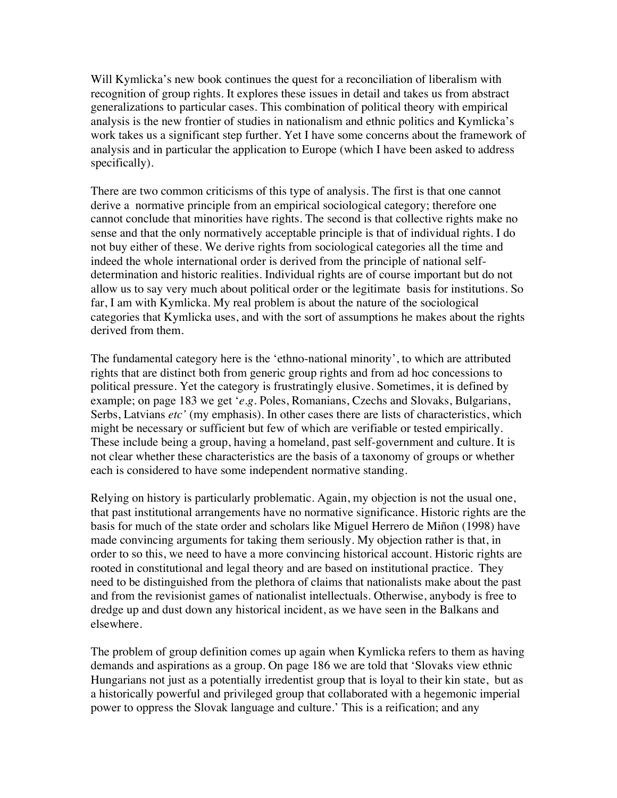Will Kymlicka's new book continues the quest for a reconciliation of liberalism with recognition of group rights. It explores these issues in detail and takes us from abstract generalizations to particular cases. This combination of political theory with empirical analysis is the new frontier of studies in nationalism and ethnic politics and Kymlicka's work takes us a significant step further. Yet I have some concerns about the framework of analysis and in particular the application to Europe (which I have been asked to address specifically).

There are two common criticisms of this type of analysis. The first is that one cannot derive a normative principle from an empirical sociological category; therefore one cannot conclude that minorities have rights. The second is that collective rights make no sense and that the only normatively acceptable principle is that of individual rights. I do not buy either of these. We derive rights from sociological categories all the time and indeed the whole international order is derived from the principle of national selfdetermination and historic realities. Individual rights are of course important but do not allow us to say very much about political order or the legitimate basis for institutions. So far, I am with Kymlicka. My real problem is about the nature of the sociological categories that Kymlicka uses, and with the sort of assumptions he makes about the rights derived from them.

The fundamental category here is the 'ethno-national minority', to which are attributed rights that are distinct both from generic group rights and from ad hoc concessions to political pressure. Yet the category is frustratingly elusive. Sometimes, it is defined by example; on page 183 we get '*e.g.* Poles, Romanians, Czechs and Slovaks, Bulgarians, Serbs, Latvians *etc'* (my emphasis). In other cases there are lists of characteristics, which might be necessary or sufficient but few of which are verifiable or tested empirically. These include being a group, having a homeland, past self-government and culture. It is not clear whether these characteristics are the basis of a taxonomy of groups or whether each is considered to have some independent normative standing.

Relying on history is particularly problematic. Again, my objection is not the usual one, that past institutional arrangements have no normative significance. Historic rights are the basis for much of the state order and scholars like Miguel Herrero de Miñon (1998) have made convincing arguments for taking them seriously. My objection rather is that, in order to so this, we need to have a more convincing historical account. Historic rights are rooted in constitutional and legal theory and are based on institutional practice. They need to be distinguished from the plethora of claims that nationalists make about the past and from the revisionist games of nationalist intellectuals. Otherwise, anybody is free to dredge up and dust down any historical incident, as we have seen in the Balkans and elsewhere.

The problem of group definition comes up again when Kymlicka refers to them as having demands and aspirations as a group. On page 186 we are told that 'Slovaks view ethnic Hungarians not just as a potentially irredentist group that is loyal to their kin state, but as a historically powerful and privileged group that collaborated with a hegemonic imperial power to oppress the Slovak language and culture.' This is a reification; and any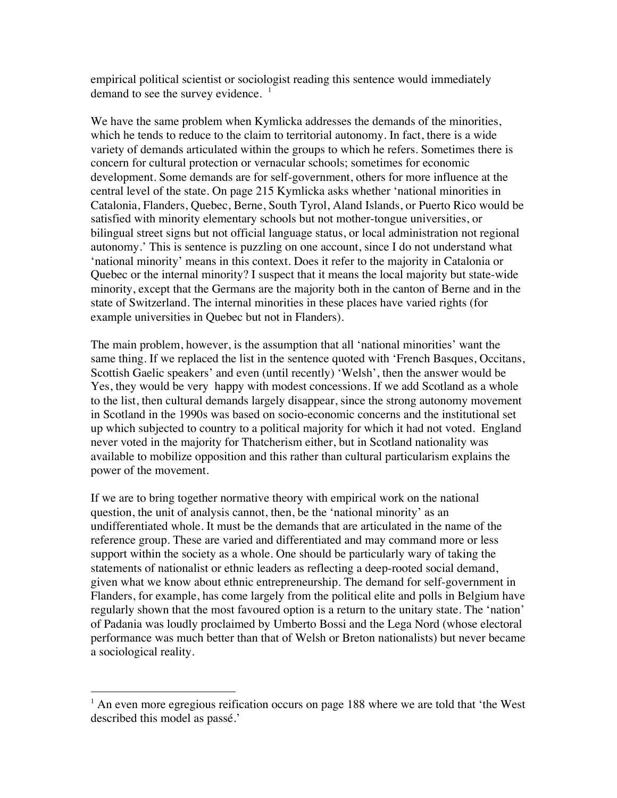empirical political scientist or sociologist reading this sentence would immediately demand to see the survey evidence.  $1$ 

We have the same problem when Kymlicka addresses the demands of the minorities, which he tends to reduce to the claim to territorial autonomy. In fact, there is a wide variety of demands articulated within the groups to which he refers. Sometimes there is concern for cultural protection or vernacular schools; sometimes for economic development. Some demands are for self-government, others for more influence at the central level of the state. On page 215 Kymlicka asks whether 'national minorities in Catalonia, Flanders, Quebec, Berne, South Tyrol, Aland Islands, or Puerto Rico would be satisfied with minority elementary schools but not mother-tongue universities, or bilingual street signs but not official language status, or local administration not regional autonomy.' This is sentence is puzzling on one account, since I do not understand what 'national minority' means in this context. Does it refer to the majority in Catalonia or Quebec or the internal minority? I suspect that it means the local majority but state-wide minority, except that the Germans are the majority both in the canton of Berne and in the state of Switzerland. The internal minorities in these places have varied rights (for example universities in Quebec but not in Flanders).

The main problem, however, is the assumption that all 'national minorities' want the same thing. If we replaced the list in the sentence quoted with 'French Basques, Occitans, Scottish Gaelic speakers' and even (until recently) 'Welsh', then the answer would be Yes, they would be very happy with modest concessions. If we add Scotland as a whole to the list, then cultural demands largely disappear, since the strong autonomy movement in Scotland in the 1990s was based on socio-economic concerns and the institutional set up which subjected to country to a political majority for which it had not voted. England never voted in the majority for Thatcherism either, but in Scotland nationality was available to mobilize opposition and this rather than cultural particularism explains the power of the movement.

If we are to bring together normative theory with empirical work on the national question, the unit of analysis cannot, then, be the 'national minority' as an undifferentiated whole. It must be the demands that are articulated in the name of the reference group. These are varied and differentiated and may command more or less support within the society as a whole. One should be particularly wary of taking the statements of nationalist or ethnic leaders as reflecting a deep-rooted social demand, given what we know about ethnic entrepreneurship. The demand for self-government in Flanders, for example, has come largely from the political elite and polls in Belgium have regularly shown that the most favoured option is a return to the unitary state. The 'nation' of Padania was loudly proclaimed by Umberto Bossi and the Lega Nord (whose electoral performance was much better than that of Welsh or Breton nationalists) but never became a sociological reality.

 $\frac{1}{1}$  $<sup>1</sup>$  An even more egregious reification occurs on page 188 where we are told that 'the West</sup> described this model as passé.'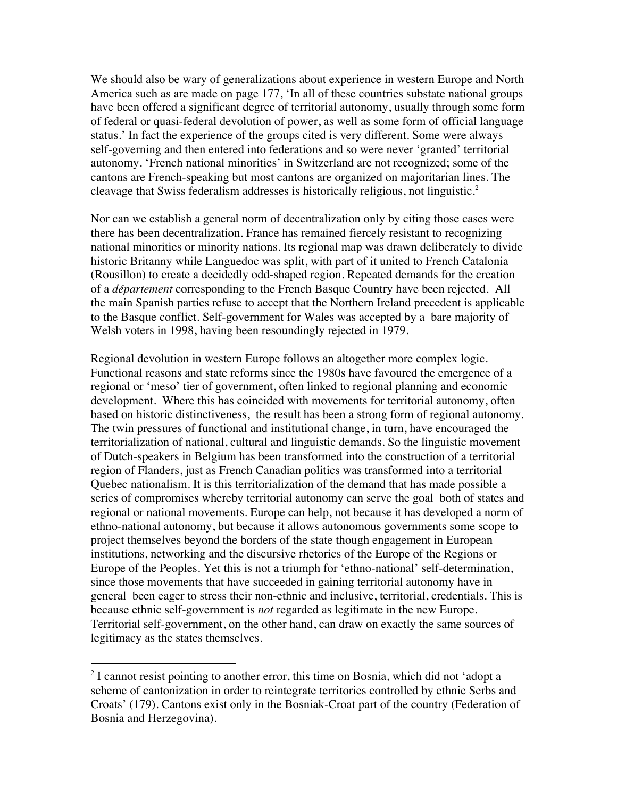We should also be wary of generalizations about experience in western Europe and North America such as are made on page 177, 'In all of these countries substate national groups have been offered a significant degree of territorial autonomy, usually through some form of federal or quasi-federal devolution of power, as well as some form of official language status.' In fact the experience of the groups cited is very different. Some were always self-governing and then entered into federations and so were never 'granted' territorial autonomy. 'French national minorities' in Switzerland are not recognized; some of the cantons are French-speaking but most cantons are organized on majoritarian lines. The cleavage that Swiss federalism addresses is historically religious, not linguistic.<sup>2</sup>

Nor can we establish a general norm of decentralization only by citing those cases were there has been decentralization. France has remained fiercely resistant to recognizing national minorities or minority nations. Its regional map was drawn deliberately to divide historic Britanny while Languedoc was split, with part of it united to French Catalonia (Rousillon) to create a decidedly odd-shaped region. Repeated demands for the creation of a *département* corresponding to the French Basque Country have been rejected. All the main Spanish parties refuse to accept that the Northern Ireland precedent is applicable to the Basque conflict. Self-government for Wales was accepted by a bare majority of Welsh voters in 1998, having been resoundingly rejected in 1979.

Regional devolution in western Europe follows an altogether more complex logic. Functional reasons and state reforms since the 1980s have favoured the emergence of a regional or 'meso' tier of government, often linked to regional planning and economic development. Where this has coincided with movements for territorial autonomy, often based on historic distinctiveness, the result has been a strong form of regional autonomy. The twin pressures of functional and institutional change, in turn, have encouraged the territorialization of national, cultural and linguistic demands. So the linguistic movement of Dutch-speakers in Belgium has been transformed into the construction of a territorial region of Flanders, just as French Canadian politics was transformed into a territorial Quebec nationalism. It is this territorialization of the demand that has made possible a series of compromises whereby territorial autonomy can serve the goal both of states and regional or national movements. Europe can help, not because it has developed a norm of ethno-national autonomy, but because it allows autonomous governments some scope to project themselves beyond the borders of the state though engagement in European institutions, networking and the discursive rhetorics of the Europe of the Regions or Europe of the Peoples. Yet this is not a triumph for 'ethno-national' self-determination, since those movements that have succeeded in gaining territorial autonomy have in general been eager to stress their non-ethnic and inclusive, territorial, credentials. This is because ethnic self-government is *not* regarded as legitimate in the new Europe. Territorial self-government, on the other hand, can draw on exactly the same sources of legitimacy as the states themselves.

 $\overline{2}$  $2<sup>2</sup>$  I cannot resist pointing to another error, this time on Bosnia, which did not 'adopt a scheme of cantonization in order to reintegrate territories controlled by ethnic Serbs and Croats' (179). Cantons exist only in the Bosniak-Croat part of the country (Federation of Bosnia and Herzegovina).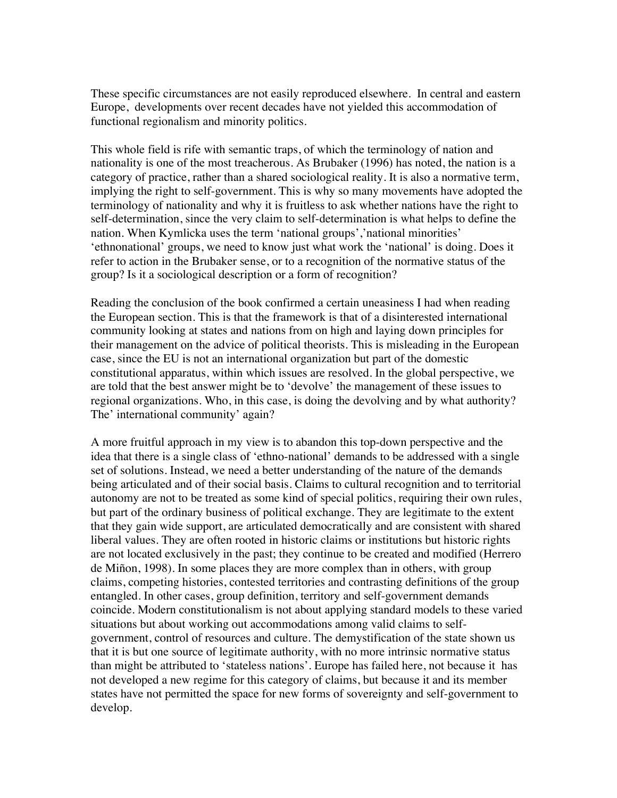These specific circumstances are not easily reproduced elsewhere. In central and eastern Europe, developments over recent decades have not yielded this accommodation of functional regionalism and minority politics.

This whole field is rife with semantic traps, of which the terminology of nation and nationality is one of the most treacherous. As Brubaker (1996) has noted, the nation is a category of practice, rather than a shared sociological reality. It is also a normative term, implying the right to self-government. This is why so many movements have adopted the terminology of nationality and why it is fruitless to ask whether nations have the right to self-determination, since the very claim to self-determination is what helps to define the nation. When Kymlicka uses the term 'national groups','national minorities' 'ethnonational' groups, we need to know just what work the 'national' is doing. Does it refer to action in the Brubaker sense, or to a recognition of the normative status of the group? Is it a sociological description or a form of recognition?

Reading the conclusion of the book confirmed a certain uneasiness I had when reading the European section. This is that the framework is that of a disinterested international community looking at states and nations from on high and laying down principles for their management on the advice of political theorists. This is misleading in the European case, since the EU is not an international organization but part of the domestic constitutional apparatus, within which issues are resolved. In the global perspective, we are told that the best answer might be to 'devolve' the management of these issues to regional organizations. Who, in this case, is doing the devolving and by what authority? The' international community' again?

A more fruitful approach in my view is to abandon this top-down perspective and the idea that there is a single class of 'ethno-national' demands to be addressed with a single set of solutions. Instead, we need a better understanding of the nature of the demands being articulated and of their social basis. Claims to cultural recognition and to territorial autonomy are not to be treated as some kind of special politics, requiring their own rules, but part of the ordinary business of political exchange. They are legitimate to the extent that they gain wide support, are articulated democratically and are consistent with shared liberal values. They are often rooted in historic claims or institutions but historic rights are not located exclusively in the past; they continue to be created and modified (Herrero de Miñon, 1998). In some places they are more complex than in others, with group claims, competing histories, contested territories and contrasting definitions of the group entangled. In other cases, group definition, territory and self-government demands coincide. Modern constitutionalism is not about applying standard models to these varied situations but about working out accommodations among valid claims to selfgovernment, control of resources and culture. The demystification of the state shown us that it is but one source of legitimate authority, with no more intrinsic normative status than might be attributed to 'stateless nations'. Europe has failed here, not because it has not developed a new regime for this category of claims, but because it and its member states have not permitted the space for new forms of sovereignty and self-government to develop.